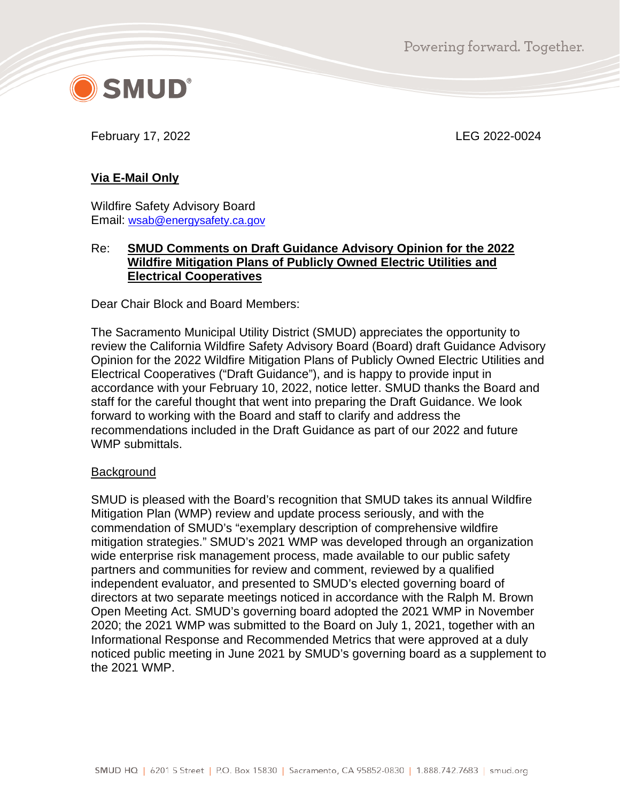Powering forward. Together.



February 17, 2022 LEG 2022-0024

# **Via E-Mail Only**

Wildfire Safety Advisory Board Email: [wsab@energysafety.ca.gov](mailto:wsab@energysafety.ca.gov)

### Re: **SMUD Comments on Draft Guidance Advisory Opinion for the 2022 Wildfire Mitigation Plans of Publicly Owned Electric Utilities and Electrical Cooperatives**

Dear Chair Block and Board Members:

The Sacramento Municipal Utility District (SMUD) appreciates the opportunity to review the California Wildfire Safety Advisory Board (Board) draft Guidance Advisory Opinion for the 2022 Wildfire Mitigation Plans of Publicly Owned Electric Utilities and Electrical Cooperatives ("Draft Guidance"), and is happy to provide input in accordance with your February 10, 2022, notice letter. SMUD thanks the Board and staff for the careful thought that went into preparing the Draft Guidance. We look forward to working with the Board and staff to clarify and address the recommendations included in the Draft Guidance as part of our 2022 and future WMP submittals.

# **Background**

SMUD is pleased with the Board's recognition that SMUD takes its annual Wildfire Mitigation Plan (WMP) review and update process seriously, and with the commendation of SMUD's "exemplary description of comprehensive wildfire mitigation strategies." SMUD's 2021 WMP was developed through an organization wide enterprise risk management process, made available to our public safety partners and communities for review and comment, reviewed by a qualified independent evaluator, and presented to SMUD's elected governing board of directors at two separate meetings noticed in accordance with the Ralph M. Brown Open Meeting Act. SMUD's governing board adopted the 2021 WMP in November 2020; the 2021 WMP was submitted to the Board on July 1, 2021, together with an Informational Response and Recommended Metrics that were approved at a duly noticed public meeting in June 2021 by SMUD's governing board as a supplement to the 2021 WMP.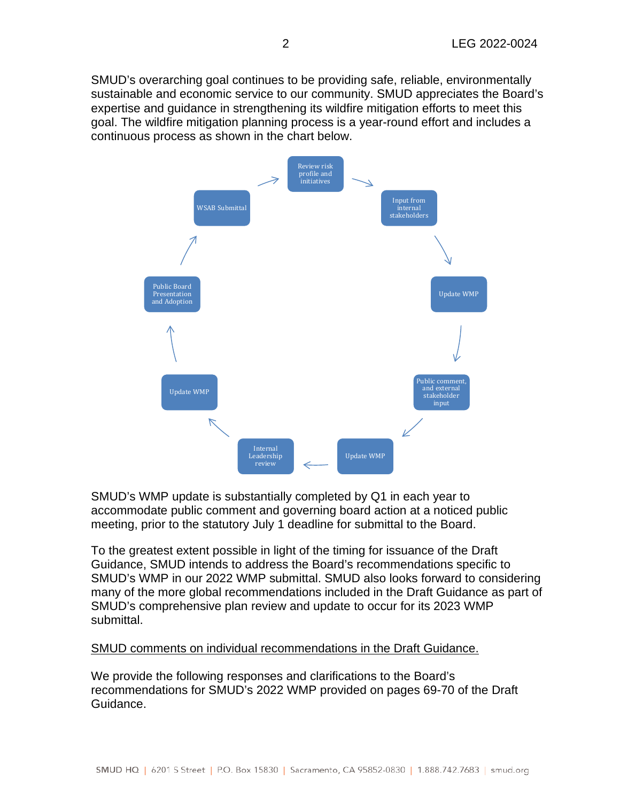SMUD's overarching goal continues to be providing safe, reliable, environmentally sustainable and economic service to our community. SMUD appreciates the Board's expertise and guidance in strengthening its wildfire mitigation efforts to meet this goal. The wildfire mitigation planning process is a year-round effort and includes a continuous process as shown in the chart below.



SMUD's WMP update is substantially completed by Q1 in each year to accommodate public comment and governing board action at a noticed public meeting, prior to the statutory July 1 deadline for submittal to the Board.

To the greatest extent possible in light of the timing for issuance of the Draft Guidance, SMUD intends to address the Board's recommendations specific to SMUD's WMP in our 2022 WMP submittal. SMUD also looks forward to considering many of the more global recommendations included in the Draft Guidance as part of SMUD's comprehensive plan review and update to occur for its 2023 WMP submittal.

#### SMUD comments on individual recommendations in the Draft Guidance.

We provide the following responses and clarifications to the Board's recommendations for SMUD's 2022 WMP provided on pages 69-70 of the Draft Guidance.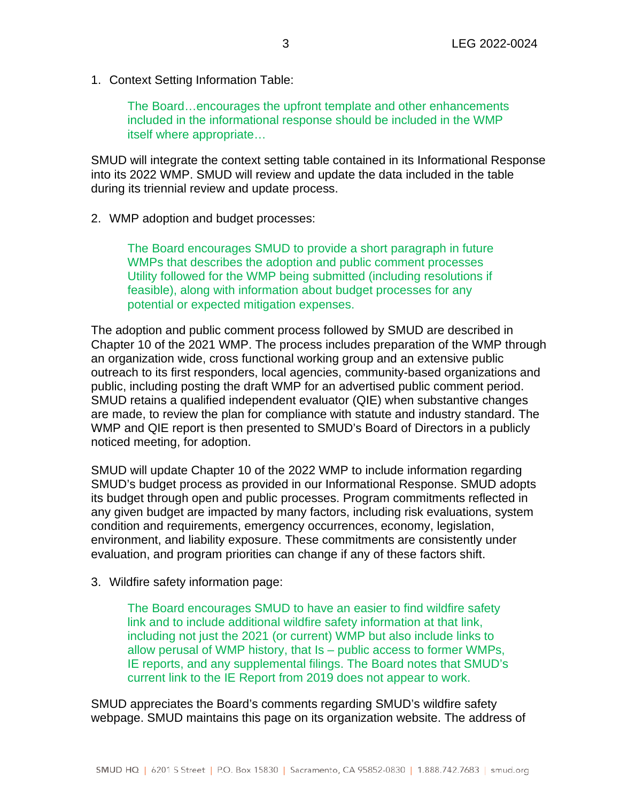1. Context Setting Information Table:

The Board…encourages the upfront template and other enhancements included in the informational response should be included in the WMP itself where appropriate…

SMUD will integrate the context setting table contained in its Informational Response into its 2022 WMP. SMUD will review and update the data included in the table during its triennial review and update process.

#### 2. WMP adoption and budget processes:

The Board encourages SMUD to provide a short paragraph in future WMPs that describes the adoption and public comment processes Utility followed for the WMP being submitted (including resolutions if feasible), along with information about budget processes for any potential or expected mitigation expenses.

The adoption and public comment process followed by SMUD are described in Chapter 10 of the 2021 WMP. The process includes preparation of the WMP through an organization wide, cross functional working group and an extensive public outreach to its first responders, local agencies, community-based organizations and public, including posting the draft WMP for an advertised public comment period. SMUD retains a qualified independent evaluator (QIE) when substantive changes are made, to review the plan for compliance with statute and industry standard. The WMP and QIE report is then presented to SMUD's Board of Directors in a publicly noticed meeting, for adoption.

SMUD will update Chapter 10 of the 2022 WMP to include information regarding SMUD's budget process as provided in our Informational Response. SMUD adopts its budget through open and public processes. Program commitments reflected in any given budget are impacted by many factors, including risk evaluations, system condition and requirements, emergency occurrences, economy, legislation, environment, and liability exposure. These commitments are consistently under evaluation, and program priorities can change if any of these factors shift.

3. Wildfire safety information page:

The Board encourages SMUD to have an easier to find wildfire safety link and to include additional wildfire safety information at that link, including not just the 2021 (or current) WMP but also include links to allow perusal of WMP history, that Is – public access to former WMPs, IE reports, and any supplemental filings. The Board notes that SMUD's current link to the IE Report from 2019 does not appear to work.

SMUD appreciates the Board's comments regarding SMUD's wildfire safety webpage. SMUD maintains this page on its organization website. The address of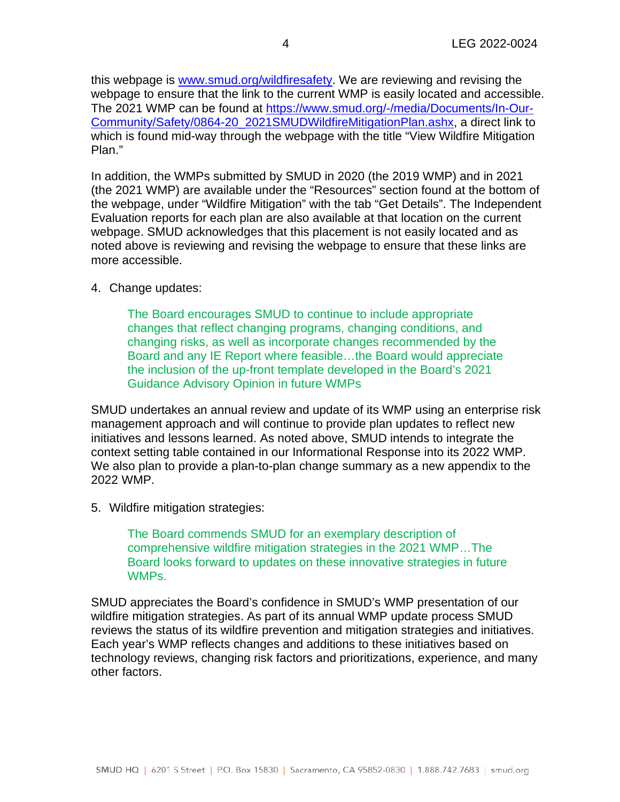this webpage is [www.smud.org/wildfiresafety.](http://www.smud.org/wildfiresafety) We are reviewing and revising the webpage to ensure that the link to the current WMP is easily located and accessible. The 2021 WMP can be found at [https://www.smud.org/-/media/Documents/In-Our-](https://www.smud.org/-/media/Documents/In-Our-Community/Safety/0864-20_2021SMUDWildfireMitigationPlan.ashx)[Community/Safety/0864-20\\_2021SMUDWildfireMitigationPlan.ashx,](https://www.smud.org/-/media/Documents/In-Our-Community/Safety/0864-20_2021SMUDWildfireMitigationPlan.ashx) a direct link to which is found mid-way through the webpage with the title "View Wildfire Mitigation Plan."

In addition, the WMPs submitted by SMUD in 2020 (the 2019 WMP) and in 2021 (the 2021 WMP) are available under the "Resources" section found at the bottom of the webpage, under "Wildfire Mitigation" with the tab "Get Details". The Independent Evaluation reports for each plan are also available at that location on the current webpage. SMUD acknowledges that this placement is not easily located and as noted above is reviewing and revising the webpage to ensure that these links are more accessible.

### 4. Change updates:

The Board encourages SMUD to continue to include appropriate changes that reflect changing programs, changing conditions, and changing risks, as well as incorporate changes recommended by the Board and any IE Report where feasible…the Board would appreciate the inclusion of the up-front template developed in the Board's 2021 Guidance Advisory Opinion in future WMPs

SMUD undertakes an annual review and update of its WMP using an enterprise risk management approach and will continue to provide plan updates to reflect new initiatives and lessons learned. As noted above, SMUD intends to integrate the context setting table contained in our Informational Response into its 2022 WMP. We also plan to provide a plan-to-plan change summary as a new appendix to the 2022 WMP.

5. Wildfire mitigation strategies:

The Board commends SMUD for an exemplary description of comprehensive wildfire mitigation strategies in the 2021 WMP…The Board looks forward to updates on these innovative strategies in future **WMPs** 

SMUD appreciates the Board's confidence in SMUD's WMP presentation of our wildfire mitigation strategies. As part of its annual WMP update process SMUD reviews the status of its wildfire prevention and mitigation strategies and initiatives. Each year's WMP reflects changes and additions to these initiatives based on technology reviews, changing risk factors and prioritizations, experience, and many other factors.